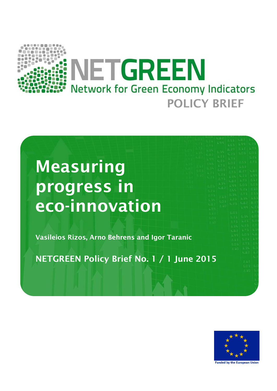

# **Measuring progress in eco-innovation**

**Vasileios Rizos, Arno Behrens and Igor Taranic**

**NETGREEN Policy Brief No. 1 / 1 June 2015**



**Funded by the European Union**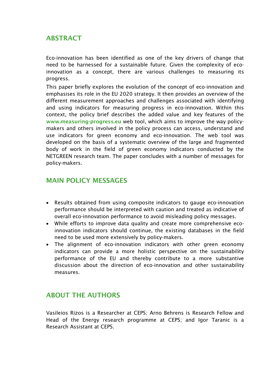### **ABSTRACT**

Eco-innovation has been identified as one of the key drivers of change that need to be harnessed for a sustainable future. Given the complexity of ecoinnovation as a concept, there are various challenges to measuring its progress.

This paper briefly explores the evolution of the concept of eco-innovation and emphasises its role in the EU 2020 strategy. It then provides an overview of the different measurement approaches and challenges associated with identifying and using indicators for measuring progress in eco-innovation. Within this context, the policy brief describes the added value and key features of the **[www.measuring-progress.eu](http://www.measuring-progress.eu/)** web tool, which aims to improve the way policymakers and others involved in the policy process can access, understand and use indicators for green economy and eco-innovation. The web tool was developed on the basis of a systematic overview of the large and fragmented body of work in the field of green economy indicators conducted by the NETGREEN research team. The paper concludes with a number of messages for policy-makers.

#### **MAIN POLICY MESSAGES**

- Results obtained from using composite indicators to gauge eco-innovation performance should be interpreted with caution and treated as indicative of overall eco-innovation performance to avoid misleading policy messages.
- While efforts to improve data quality and create more comprehensive ecoinnovation indicators should continue, the existing databases in the field need to be used more extensively by policy-makers.
- The alignment of eco-innovation indicators with other green economy indicators can provide a more holistic perspective on the sustainability performance of the EU and thereby contribute to a more substantive discussion about the direction of eco-innovation and other sustainability measures.

## **ABOUT THE AUTHORS**

Vasileios Rizos is a Researcher at CEPS; Arno Behrens is Research Fellow and Head of the Energy research programme at CEPS; and Igor Taranic is a Research Assistant at CEPS.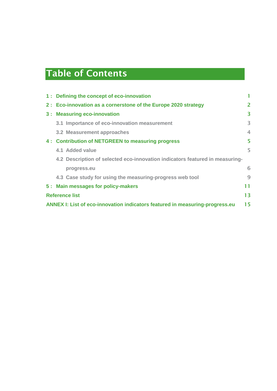## **Table of Contents**

|                                                                                    | 1: Defining the concept of eco-innovation                                    | 1              |  |  |
|------------------------------------------------------------------------------------|------------------------------------------------------------------------------|----------------|--|--|
|                                                                                    | 2: Eco-innovation as a cornerstone of the Europe 2020 strategy               | $\overline{2}$ |  |  |
|                                                                                    | 3 : Measuring eco-innovation                                                 | 3              |  |  |
|                                                                                    | 3.1 Importance of eco-innovation measurement                                 | 3              |  |  |
|                                                                                    | 3.2 Measurement approaches                                                   | $\overline{4}$ |  |  |
|                                                                                    | 4: Contribution of NETGREEN to measuring progress                            | 5              |  |  |
|                                                                                    | 4.1 Added value                                                              | 5              |  |  |
|                                                                                    | 4.2 Description of selected eco-innovation indicators featured in measuring- |                |  |  |
|                                                                                    | progress.eu                                                                  | 6              |  |  |
|                                                                                    | 4.3 Case study for using the measuring-progress web tool                     | 9              |  |  |
|                                                                                    | 5: Main messages for policy-makers                                           | 11             |  |  |
| 13<br><b>Reference list</b>                                                        |                                                                              |                |  |  |
| 15<br>ANNEX I: List of eco-innovation indicators featured in measuring-progress.eu |                                                                              |                |  |  |
|                                                                                    |                                                                              |                |  |  |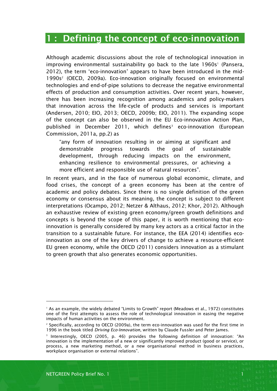## <span id="page-3-0"></span>**1 : Defining the concept of eco-innovation**

Although academic discussions about the role of technological innovation in improving environmental sustainability go back to the late 1960s<sup>1</sup> (Pansera, 2012), the term 'eco-innovation' appears to have been introduced in the mid-1990s<sup>2</sup> (OECD, 2009a). Eco-innovation originally focused on environmental technologies and end-of-pipe solutions to decrease the negative environmental effects of production and consumption activities. Over recent years, however, there has been increasing recognition among academics and policy-makers that innovation across the life-cycle of products and services is important (Andersen, 2010; EIO, 2013; OECD, 2009b; EIO, 2011). The expanding scope of the concept can also be observed in the EU Eco-innovation Action Plan, published in December 2011, which defines<sup>3</sup> eco-innovation (European Commission, 2011a, pp.2) as

"any form of innovation resulting in or aiming at significant and demonstrable progress towards the goal of sustainable development, through reducing impacts on the environment, enhancing resilience to environmental pressures, or achieving a more efficient and responsible use of natural resources".

In recent years, and in the face of numerous global economic, climate, and food crises, the concept of a green economy has been at the centre of academic and policy debates. Since there is no single definition of the green economy or consensus about its meaning, the concept is subject to different interpretations (Ocampo, 2012; Netzer & Althaus, 2012; Khor, 2012). Although an exhaustive review of existing green economy/green growth definitions and concepts is beyond the scope of this paper, it is worth mentioning that ecoinnovation is generally considered by many key actors as a critical factor in the transition to a sustainable future. For instance, the EEA (2014) identifies ecoinnovation as one of the key drivers of change to achieve a resource-efficient EU green economy, while the OECD (2011) considers innovation as a stimulant to green growth that also generates economic opportunities.

<sup>1</sup> As an example, the widely debated "Limits to Growth" report (Meadows et al., 1972) constitutes one of the first attempts to assess the role of technological innovation in easing the negative impacts of human activities on the environment.

<sup>&</sup>lt;sup>2</sup> Specifically, according to OECD (2009a), the term eco-innovation was used for the first time in 1996 in the book titled *Driving Eco-Innovation*, written by Claude Fussler and Peter James.

<sup>&</sup>lt;sup>3</sup> Interestingly, OECD (2005, p. 46) provides the following definition of innovation: "An innovation is the implementation of a new or significantly improved product (good or service), or process, a new marketing method, or a new organisational method in business practices, workplace organisation or external relations".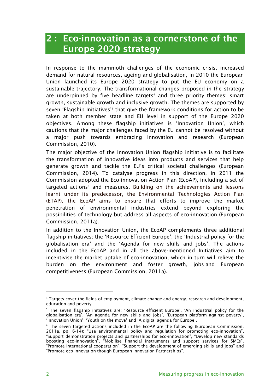## <span id="page-4-0"></span>**2 : Eco-innovation as a cornerstone of the Europe 2020 strategy**

In response to the mammoth challenges of the economic crisis, increased demand for natural resources, ageing and globalisation, in 2010 the European Union launched its Europe 2020 strategy to put the EU economy on a sustainable trajectory. The transformational changes proposed in the strategy are underpinned by five headline targets<sup>4</sup> and three priority themes: smart growth, sustainable growth and inclusive growth. The themes are supported by seven 'Flagship Initiatives'<sup>5</sup> that give the framework conditions for action to be taken at both member state and EU level in support of the Europe 2020 objectives. Among these flagship initiatives is 'Innovation Union', which cautions that the major challenges faced by the EU cannot be resolved without a major push towards embracing innovation and research (European Commission, 2010).

The major objective of the Innovation Union flagship initiative is to facilitate the transformation of innovative ideas into products and services that help generate growth and tackle the EU's critical societal challenges (European Commission, 2014). To catalyse progress in this direction, in 2011 the Commission adopted the Eco-innovation Action Plan (EcoAP), including a set of targeted actions<sup>6</sup> and measures. Building on the achievements and lessons learnt under its predecessor, the Environmental Technologies Action Plan (ETAP), the EcoAP aims to ensure that efforts to improve the market penetration of environmental industries extend beyond exploring the possibilities of technology but address all aspects of eco-innovation (European Commission, 2011a).

In addition to the Innovation Union, the EcoAP complements three additional flagship initiatives: the 'Resource Efficient Europe', the 'Industrial policy for the globalisation era' and the 'Agenda for new skills and jobs'. The actions included in the EcoAP and in all the above-mentioned Initiatives aim to incentivise the market uptake of eco-innovation, which in turn will relieve the burden on the environment and foster growth, jobs and European competitiveness (European Commission, 2011a).

<sup>4</sup> Targets cover the fields of employment, climate change and energy, research and development, education and poverty.

<sup>&</sup>lt;sup>5</sup> The seven flagship initiatives are: 'Resource efficient Europe', 'An industrial policy for the globalisation era', 'An agenda for new skills and jobs', 'European platform against poverty', 'Innovation Union', 'Youth on the move' and 'A digital agenda for Europe'.

<sup>&</sup>lt;sup>6</sup> The seven targeted actions included in the EcoAP are the following (European Commission, 2011a, pp. 6-14): "Use environmental policy and regulation for promoting eco-innovation", "Support demonstration projects and partnerships for eco-innovation", "Develop new standards boosting eco-innovation", "Mobilise financial instruments and support services for SMEs", "Promote international cooperation", "Support the development of emerging skills and jobs" and "Promote eco-innovation though European Innovation Partnerships".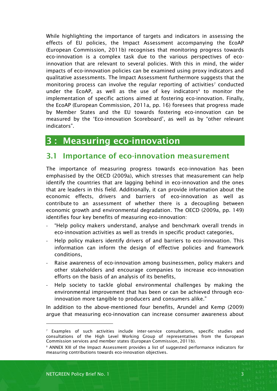While highlighting the importance of targets and indicators in assessing the effects of EU policies, the Impact Assessment accompanying the EcoAP (European Commission, 2011b) recognises that monitoring progress towards eco-innovation is a complex task due to the various perspectives of ecoinnovation that are relevant to several policies. With this in mind, the wider impacts of eco-innovation policies can be examined using proxy indicators and qualitative assessments. The Impact Assessment furthermore suggests that the monitoring process can involve the regular reporting of activities<sup>7</sup> conducted under the EcoAP, as well as the use of key indicators<sup>8</sup> to monitor the implementation of specific actions aimed at fostering eco-innovation. Finally, the EcoAP (European Commission, 2011a, pp. 16) foresees that progress made by Member States and the EU towards fostering eco-innovation can be measured by the 'Eco-innovation Scoreboard', as well as by "other relevant indicators".

## <span id="page-5-0"></span>**3 : Measuring eco-innovation**

## <span id="page-5-1"></span>**3.1 Importance of eco-innovation measurement**

The importance of measuring progress towards eco-innovation has been emphasised by the OECD (2009a), which stresses that measurement can help identify the countries that are lagging behind in eco-innovation and the ones that are leaders in this field. Additionally, it can provide information about the economic effects, drivers and barriers of eco-innovation as well as contribute to an assessment of whether there is a decoupling between economic growth and environmental degradation. The OECD (2009a, pp. 149) identifies four key benefits of measuring eco-innovation:

- "Help policy makers understand, analyse and benchmark overall trends in eco-innovation activities as well as trends in specific product categories,
- Help policy makers identify drivers of and barriers to eco-innovation. This information can inform the design of effective policies and framework conditions,
- Raise awareness of eco-innovation among businessmen, policy makers and other stakeholders and encourage companies to increase eco-innovation efforts on the basis of an analysis of its benefits,
- Help society to tackle global environmental challenges by making the environmental improvement that has been or can be achieved through ecoinnovation more tangible to producers and consumers alike."

In addition to the above-mentioned four benefits, Arundel and Kemp (2009) argue that measuring eco-innovation can increase consumer awareness about

 $7$  Examples of such activities include inter-service consultations, specific studies and consultations of the High Level Working Group of representatives from the European Commission services and member states (European Commission, 2011b).

<sup>8</sup> ANNEX XIII of the Impact Assessment provides a list of suggested performance indicators for measuring contributions towards eco-innovation objectives.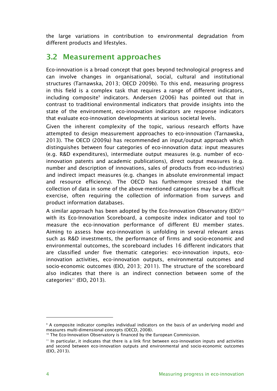the large variations in contribution to environmental degradation from different products and lifestyles.

## <span id="page-6-0"></span>**3.2 Measurement approaches**

Eco-innovation is a broad concept that goes beyond technological progress and can involve changes in organisational, social, cultural and institutional structures (Tarnawska, 2013; OECD 2009b). To this end, measuring progress in this field is a complex task that requires a range of different indicators, including composite<sup>9</sup> indicators. Andersen (2006) has pointed out that in contrast to traditional environmental indicators that provide insights into the state of the environment, eco-innovation indicators are response indicators that evaluate eco-innovation developments at various societal levels.

Given the inherent complexity of the topic, various research efforts have attempted to design measurement approaches to eco-innovation (Tarnawska, 2013). The OECD (2009a) has recommended an input/output approach which distinguishes between four categories of eco-innovation data: input measures (e.g. R&D expenditures), intermediate output measures (e.g. number of ecoinnovation patents and academic publications), direct output measures (e.g. number and description of innovations, sales of products from eco-industries) and indirect impact measures (e.g. changes in absolute environmental impact and resource efficiency). The OECD has furthermore stressed that the collection of data in some of the above-mentioned categories may be a difficult exercise, often requiring the collection of information from surveys and product information databases.

A similar approach has been adopted by the Eco-Innovation Observatory (EIO)<sup>10</sup> with its Eco-Innovation Scoreboard, a composite index indicator and tool to measure the eco-innovation performance of different EU member states. Aiming to assess how eco-innovation is unfolding in several relevant areas such as R&D investments, the performance of firms and socio-economic and environmental outcomes, the scoreboard includes 16 different indicators that are classified under five thematic categories: eco-innovation inputs, ecoinnovation activities, eco-innovation outputs, environmental outcomes and socio-economic outcomes (EIO, 2013; 2011). The structure of the scoreboard also indicates that there is an indirect connection between some of the categories<sup>11</sup> (EIO, 2013).

<sup>9</sup> A composite indicator compiles individual indicators on the basis of an underlying model and measures multi-dimensional concepts (OECD, 2008).

<sup>&</sup>lt;sup>10</sup> The Eco-Innovation Observatory is financed by the European Commission.

 $<sup>11</sup>$  In particular, it indicates that there is a link first between eco-innovation inputs and activities</sup> and second between eco-innovation outputs and environmental and socio-economic outcomes (EIO, 2013).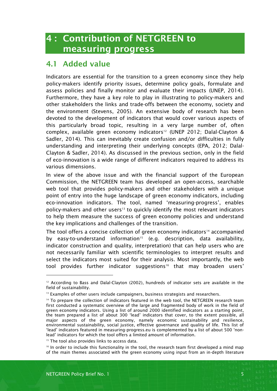## <span id="page-7-0"></span>**4 : Contribution of NETGREEN to measuring progress**

## <span id="page-7-1"></span>**4.1 Added value**

Indicators are essential for the transition to a green economy since they help policy-makers identify priority issues, determine policy goals, formulate and assess policies and finally monitor and evaluate their impacts (UNEP, 2014). Furthermore, they have a key role to play in illustrating to policy-makers and other stakeholders the links and trade-offs between the economy, society and the environment (Stevens, 2005). An extensive body of research has been devoted to the development of indicators that would cover various aspects of this particularly broad topic, resulting in a very large number of, often complex, available green economy indicators<sup>12</sup> (UNEP 2012; Dalal-Clayton & Sadler, 2014). This can inevitably create confusion and/or difficulties in fully understanding and interpreting their underlying concepts (EPA, 2012; Dalal-Clayton & Sadler, 2014). As discussed in the previous section, only in the field of eco-innovation is a wide range of different indicators required to address its various dimensions.

In view of the above issue and with the financial support of the European Commission, the NETGREEN team has developed an open-access, searchable web tool that provides policy-makers and other stakeholders with a unique point of entry into the huge landscape of green economy indicators, including eco-innovation indicators. The tool, named 'measuring-progress', enables policy-makers and other users<sup>13</sup> to quickly identify the most relevant indicators to help them measure the success of green economy policies and understand the key implications and challenges of the transition.

The tool offers a concise collection of green economy indicators<sup>14</sup> accompanied by easy-to-understand information<sup>15</sup> (e.g. description, data availability, indicator construction and quality, interpretation) that can help users who are not necessarily familiar with scientific terminologies to interpret results and select the indicators most suited for their analysis. Most importantly, the web tool provides further indicator suggestions<sup>16</sup> that may broaden users'

<sup>15</sup> The tool also provides links to access data.

<sup>16</sup> In order to include this functionality in the tool, the research team first developed a mind map of the main themes associated with the green economy using input from an in-depth literature

l

 $12$  According to Bass and Dalal-Clayton (2002), hundreds of indicator sets are available in the field of sustainability.

<sup>&</sup>lt;sup>13</sup> Examples of other users include campaigners, business strategists and researchers.

<sup>&</sup>lt;sup>14</sup> To prepare the collection of indicators featured in the web tool, the NETGREEN research team first conducted a systematic overview of the large and fragmented body of work in the field of green economy indicators. Using a list of around 2000 identified indicators as a starting point, the team prepared a list of about 300 'lead' indicators that cover, to the extent possible, all major aspects of the green economy, namely economic sustainability and resilience, environmental sustainability, social justice, effective governance and quality of life. This list of 'lead' indicators featured in measuring-progress.eu is complemented by a list of about 500 'nonlead' indicators for which the tool offers a limited amount of information.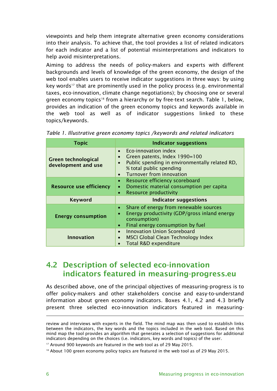viewpoints and help them integrate alternative green economy considerations into their analysis. To achieve that, the tool provides a list of related indicators for each indicator and a list of potential misinterpretations and indicators to help avoid misinterpretations.

Aiming to address the needs of policy-makers and experts with different backgrounds and levels of knowledge of the green economy, the design of the web tool enables users to receive indicator suggestions in three ways: by using key words<sup>17</sup> that are prominently used in the policy process (e.g. environmental taxes, eco-innovation, climate change negotiations); by choosing one or several green economy topics<sup>18</sup> from a hierarchy or by free-text search. Table 1, below, provides an indication of the green economy topics and keywords available in the web tool as well as of indicator suggestions linked to these topics/keywords.

| <b>Topic</b>                                      | <b>Indicator suggestions</b>                                                                                                                                                                                       |
|---------------------------------------------------|--------------------------------------------------------------------------------------------------------------------------------------------------------------------------------------------------------------------|
| <b>Green technological</b><br>development and use | Eco-innovation index<br>$\bullet$<br>Green patents, Index 1990=100<br>$\bullet$<br>Public spending in environmentally related RD,<br>$\bullet$<br>% total public spending<br>Turnover from innovation<br>$\bullet$ |
| <b>Resource use efficiency</b>                    | Resource efficiency scoreboard<br>$\bullet$<br>Domestic material consumption per capita<br>$\bullet$<br>Resource productivity<br>$\bullet$                                                                         |
| <b>Keyword</b>                                    | <b>Indicator suggestions</b>                                                                                                                                                                                       |
| <b>Energy consumption</b>                         | Share of energy from renewable sources<br>$\bullet$<br>Energy productivity (GDP/gross inland energy<br>$\bullet$<br>consumption)<br>Final energy consumption by fuel<br>$\bullet$                                  |
| <b>Innovation</b>                                 | Innovation Union Scoreboard<br>$\bullet$<br>MSCI Global Clean Technology Index<br>$\bullet$<br>Total R&D expenditure<br>$\bullet$                                                                                  |

*Table 1. Illustrative green economy topics /keywords and related indicators*

## <span id="page-8-0"></span>**4.2 Description of selected eco-innovation indicators featured in measuring-progress.eu**

As described above, one of the principal objectives of measuring-progress is to offer policy-makers and other stakeholders concise and easy-to-understand information about green economy indicators. Boxes 4.1, 4.2 and 4.3 briefly present three selected eco-innovation indicators featured in measuring-

review and interviews with experts in the field. The mind map was then used to establish links between the indicators, the key words and the topics included in the web tool. Based on this mind map the tool provides an algorithm that generates a selection of suggestions for additional indicators depending on the choices (i.e. indicators, key words and topics) of the user.

<sup>&</sup>lt;sup>17</sup> Around 900 keywords are featured in the web tool as of 29 May 2015.

<sup>&</sup>lt;sup>18</sup> About 100 green economy policy topics are featured in the web tool as of 29 May 2015.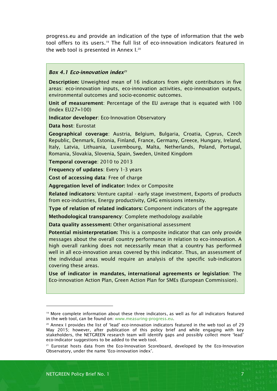progress.eu and provide an indication of the type of information that the web tool offers to its users. <sup>19</sup> The full list of eco-innovation indicators featured in the web tool is presented in Annex I.<sup>20</sup>

#### *Box 4.1 Eco-innovation index<sup>21</sup>*

**Description:** Unweighted mean of 16 indicators from eight contributors in five areas: eco-innovation inputs, eco-innovation activities, eco-innovation outputs, environmental outcomes and socio-economic outcomes.

**Unit of measurement**: Percentage of the EU average that is equated with 100 (Index EU27=100)

**Indicator developer**: Eco-Innovation Observatory

**Data host**: Eurostat

**Geographical coverage**: Austria, Belgium, Bulgaria, Croatia, Cyprus, Czech Republic, Denmark, Estonia, Finland, France, Germany, Greece, Hungary, Ireland, Italy, Latvia, Lithuania, Luxembourg, Malta, Netherlands, Poland, Portugal, Romania, Slovakia, Slovenia, Spain, Sweden, United Kingdom

**Temporal coverage**: 2010 to 2013

**Frequency of updates**: Every 1-3 years

**Cost of accessing data**: Free of charge

**Aggregation level of indicator:** Index or Composite

**Related indicators:** Venture capital - early stage investment, Exports of products from eco-industries, Energy productivity, GHG emissions intensity.

**Type of relation of related indicators:** Component indicators of the aggregate

**Methodological transparency**: Complete methodology available

**Data quality assessment:** Other organisational assessment

**Potential misinterpretation:** This is a composite indicator that can only provide messages about the overall country performance in relation to eco-innovation. A high overall ranking does not necessarily mean that a country has performed well in all eco-innovation areas covered by this indicator. Thus, an assessment of the individual areas would require an analysis of the specific sub-indicators covering these areas.

**Use of indicator in mandates, international agreements or legislation**: The Eco-innovation Action Plan, Green Action Plan for SMEs (European Commission).

<sup>&</sup>lt;sup>19</sup> More complete information about these three indicators, as well as for all indicators featured in the web tool, can be found on: [www.measuring-progress.eu.](http://www.measuring-progress.eu/)

<sup>&</sup>lt;sup>20</sup> Annex I provides the list of 'lead' eco-innovation indicators featured in the web tool as of 29 May 2015; however, after publication of this policy brief and while engaging with key stakeholders, the NETGREEN research team will identify gaps and possibly collect more 'lead' eco-indicator suggestions to be added to the web tool.

<sup>&</sup>lt;sup>21</sup> Eurostat hosts data from the Eco-Innovation Scoreboard, developed by the Eco-Innovation Observatory, under the name 'Eco-innovation index'.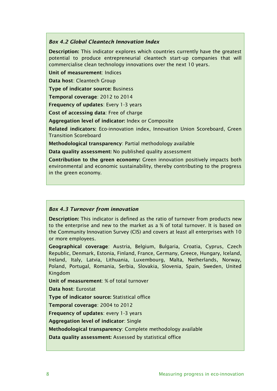#### *Box 4.2 Global Cleantech Innovation Index*

**Description:** This indicator explores which countries currently have the greatest potential to produce entrepreneurial cleantech start-up companies that will commercialise clean technology innovations over the next 10 years.

**Unit of measurement**: Indices

**Data host**: Cleantech Group

**Type of indicator source:** Business

**Temporal coverage**: 2012 to 2014

**Frequency of updates**: Every 1-3 years

**Cost of accessing data**: Free of charge

**Aggregation level of indicator:** Index or Composite

**Related indicators:** Eco-innovation index, Innovation Union Scoreboard, Green Transition Scoreboard

**Methodological transparency**: Partial methodology available

**Data quality assessment:** No published quality assessment

**Contribution to the green economy:** Green innovation positively impacts both environmental and economic sustainability, thereby contributing to the progress in the green economy.

#### *Box 4.3 Turnover from innovation*

**Description:** This indicator is defined as the ratio of turnover from products new to the enterprise and new to the market as a % of total turnover. It is based on the Community Innovation Survey (CIS) and covers at least all enterprises with 10 or more employees.

**Geographical coverage**: Austria, Belgium, Bulgaria, Croatia, Cyprus, Czech Republic, Denmark, Estonia, Finland, France, Germany, Greece, Hungary, Iceland, Ireland, Italy, Latvia, Lithuania, Luxembourg, Malta, Netherlands, Norway, Poland, Portugal, Romania, Serbia, Slovakia, Slovenia, Spain, Sweden, United Kingdom

**Unit of measurement**: % of total turnover

**Data host**: Eurostat

**Type of indicator source:** Statistical office

**Temporal coverage**: 2004 to 2012

**Frequency of updates**: every 1-3 years

**Aggregation level of indicator**: Single

**Methodological transparency**: Complete methodology available

**Data quality assessment:** Assessed by statistical office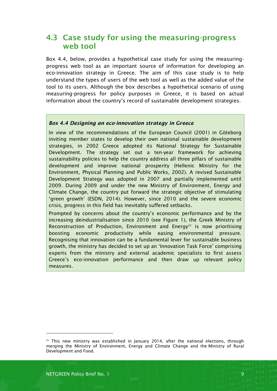## <span id="page-11-0"></span>**4.3 Case study for using the measuring-progress web tool**

Box 4.4, below, provides a hypothetical case study for using the measuringprogress web tool as an important source of information for developing an eco-innovation strategy in Greece. The aim of this case study is to help understand the types of users of the web tool as well as the added value of the tool to its users. Although the box describes a hypothetical scenario of using measuring-progress for policy purposes in Greece, it is based on actual information about the country's record of sustainable development strategies.

#### *Box 4.4 Designing an eco-innovation strategy in Greece*

In view of the recommendations of the European Council (2001) in Göteborg inviting member states to develop their own national sustainable development strategies, in 2002 Greece adopted its National Strategy for Sustainable Development. The strategy set out a ten-year framework for achieving sustainability policies to help the country address all three pillars of sustainable development and improve national prosperity (Hellenic Ministry for the Environment, Physical Planning and Public Works, 2002). A revised Sustainable Development Strategy was adopted in 2007 and partially implemented until 2009. During 2009 and under the new Ministry of Environment, Energy and Climate Change, the country put forward the strategic objective of stimulating 'green growth' (ESDN, 2014). However, since 2010 and the severe economic crisis, progress in this field has inevitably suffered setbacks.

Prompted by concerns about the country's economic performance and by the increasing deindustrialisation since 2010 (see Figure 1), the Greek Ministry of Reconstruction of Production, Environment and Energy<sup>22</sup> is now prioritising boosting economic productivity while easing environmental pressure. Recognising that innovation can be a fundamental lever for sustainable business growth, the ministry has decided to set up an 'Innovation Task Force' comprising experts from the ministry and external academic specialists to first assess Greece's eco-innovation performance and then draw up relevant policy measures.

l

 $22$  This new ministry was established in January 2014, after the national elections, through merging the Ministry of Environment, Energy and Climate Change and the Ministry of Rural Development and Food.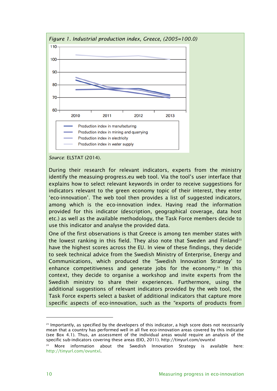

*Source*: ELSTAT (2014).

During their research for relevant indicators, experts from the ministry identify the measuing-progress.eu web tool. Via the tool's user interface that explains how to select relevant keywords in order to receive suggestions for indicators relevant to the green economy topic of their interest, they enter 'eco-innovation'. The web tool then provides a list of suggested indicators, among which is the eco-innovation index. Having read the information provided for this indicator (description, geographical coverage, data host etc.) as well as the available methodology, the Task Force members decide to use this indicator and analyse the provided data.

One of the first observations is that Greece is among ten member states with the lowest ranking in this field. They also note that Sweden and Finland<sup>23</sup> have the highest scores across the EU. In view of these findings, they decide to seek technical advice from the Swedish Ministry of Enterprise, Energy and Communications, which produced the 'Swedish Innovation Strategy' to enhance competitiveness and generate jobs for the economy.<sup>24</sup> In this context, they decide to organise a workshop and invite experts from the Swedish ministry to share their experiences. Furthermore, using the additional suggestions of relevant indicators provided by the web tool, the Task Force experts select a basket of additional indicators that capture more specific aspects of eco-innovation, such as the "exports of products from

 $23$  Importantly, as specified by the developers of this indicator, a high score does not necessarily mean that a country has performed well in all five eco-innovation areas covered by this indicator (see Box 4.1). Thus, an assessment of the individual areas would require an analysis of the specific sub-indicators covering these areas (EIO, 2011). http://tinyurl.com/ovuntxl

 $24$  More information about the Swedish Innovation Strategy is available here: [http://tinyurl.com/ovuntxl.](http://tinyurl.com/ovuntxl)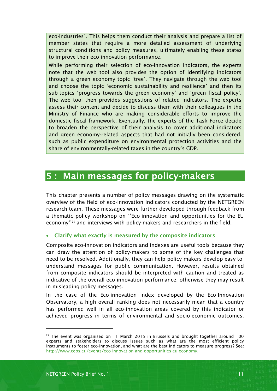eco-industries". This helps them conduct their analysis and prepare a list of member states that require a more detailed assessment of underlying structural conditions and policy measures, ultimately enabling these states to improve their eco-innovation performance.

While performing their selection of eco-innovation indicators, the experts note that the web tool also provides the option of identifying indicators through a green economy topic 'tree'. They navigate through the web tool and choose the topic 'economic sustainability and resilience' and then its sub-topics 'progress towards the green economy' and 'green fiscal policy'. The web tool then provides suggestions of related indicators. The experts assess their content and decide to discuss them with their colleagues in the Ministry of Finance who are making considerable efforts to improve the domestic fiscal framework. Eventually, the experts of the Task Force decide to broaden the perspective of their analysis to cover additional indicators and green economy-related aspects that had not initially been considered, such as public expenditure on environmental protection activities and the share of environmentally-related taxes in the country's GDP.

## <span id="page-13-0"></span>**5 : Main messages for policy-makers**

This chapter presents a number of policy messages drawing on the systematic overview of the field of eco-innovation indicators conducted by the NETGREEN research team. These messages were further developed through feedback from a thematic policy workshop on ''Eco-innovation and opportunities for the EU economy''<sup>25</sup> and interviews with policy-makers and researchers in the field.

#### **Clarify what exactly is measured by the composite indicators**

Composite eco-innovation indicators and indexes are useful tools because they can draw the attention of policy-makers to some of the key challenges that need to be resolved. Additionally, they can help policy-makers develop easy-tounderstand messages for public communication. However, results obtained from composite indicators should be interpreted with caution and treated as indicative of the overall eco-innovation performance; otherwise they may result in misleading policy messages.

In the case of the Eco-innovation index developed by the Eco-Innovation Observatory, a high overall ranking does not necessarily mean that a country has performed well in all eco-innovation areas covered by this indicator or achieved progress in terms of environmental and socio-economic outcomes.

 $25$  The event was organised on 11 March 2015 in Brussels and brought together around 100 experts and stakeholders to discuss issues such as what are the most efficient policy instruments to foster eco-innovation, and what are the best indicators to measure progress? See: [http://www.ceps.eu/events/eco-innovation-and-opportunities-eu-economy.](http://www.ceps.eu/events/eco-innovation-and-opportunities-eu-economy)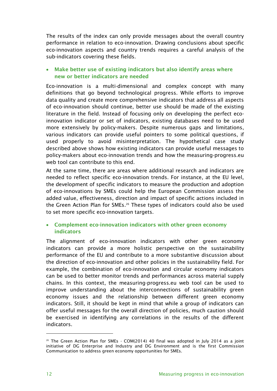The results of the index can only provide messages about the overall country performance in relation to eco-innovation. Drawing conclusions about specific eco-innovation aspects and country trends requires a careful analysis of the sub-indicators covering these fields.

#### **Make better use of existing indicators but also identify areas where new or better indicators are needed**

Eco-innovation is a multi-dimensional and complex concept with many definitions that go beyond technological progress. While efforts to improve data quality and create more comprehensive indicators that address all aspects of eco-innovation should continue, better use should be made of the existing literature in the field. Instead of focusing only on developing the perfect ecoinnovation indicator or set of indicators, existing databases need to be used more extensively by policy-makers. Despite numerous gaps and limitations, various indicators can provide useful pointers to some political questions, if used properly to avoid misinterpretation. The hypothetical case study described above shows how existing indicators can provide useful messages to policy-makers about eco-innovation trends and how the measuring-progress.eu web tool can contribute to this end.

At the same time, there are areas where additional research and indicators are needed to reflect specific eco-innovation trends. For instance, at the EU level, the development of specific indicators to measure the production and adoption of eco-innovations by SMEs could help the European Commission assess the added value, effectiveness, direction and impact of specific actions included in the Green Action Plan for SMEs.<sup>26</sup> These types of indicators could also be used to set more specific eco-innovation targets.

#### **Complement eco-innovation indicators with other green economy indicators**

The alignment of eco-innovation indicators with other green economy indicators can provide a more holistic perspective on the sustainability performance of the EU and contribute to a more substantive discussion about the direction of eco-innovation and other policies in the sustainability field. For example, the combination of eco-innovation and circular economy indicators can be used to better monitor trends and performances across material supply chains. In this context, the measuring-progress.eu web tool can be used to improve understanding about the interconnections of sustainability green economy issues and the relationship between different green economy indicators. Still, it should be kept in mind that while a group of indicators can offer useful messages for the overall direction of policies, much caution should be exercised in identifying any correlations in the results of the different indicators.

l

 $26$  The Green Action Plan for SMEs - COM(2014) 40 final was adopted in July 2014 as a joint initiative of DG Enterprise and Industry and DG Environment and is the first Commission Communication to address green economy opportunities for SMEs.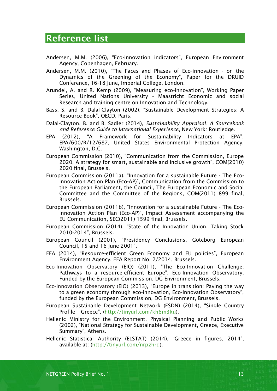## <span id="page-15-0"></span>**Reference list**

- Andersen, M.M. (2006), "Eco-innovation indicators", European Environment Agency, Copenhagen, February.
- Andersen, M.M. (2010), "The Faces and Phases of Eco-innovation on the Dynamics of the Greening of the Economy", Paper for the DRUID Conference, 16-18 June, Imperial College, London.
- Arundel, A. and R. Kemp (2009), "Measuring eco-innovation", Working Paper Series, United Nations University - Maastricht Economic and social Research and training centre on Innovation and Technology.
- Bass, S. and B. Dalal-Clayton (2002), "Sustainable Development Strategies: A Resource Book", OECD, Paris.
- Dalal-Clayton, B. and B. Sadler (2014), *Sustainability Appraisal: A Sourcebook and Reference Guide to International Experience*, New York: Routledge.
- EPA (2012), "A Framework for Sustainability Indicators at EPA", EPA/600/R/12/687, United States Environmental Protection Agency, Washington, D.C.
- European Commission (2010), "Communication from the Commission, Europe 2020, A strategy for smart, sustainable and inclusive growth", COM(2010) 2020 final, Brussels.
- European Commission (2011a), "Innovation for a sustainable Future The Ecoinnovation Action Plan (Eco-AP)", Communication from the Commission to the European Parliament, the Council, The European Economic and Social Committee and the Committee of the Regions, COM(2011) 899 final, Brussels.
- European Commission (2011b), "Innovation for a sustainable Future The Ecoinnovation Action Plan (Eco-AP)", Impact Assessment accompanying the EU Communication, SEC(2011) 1599 final, Brussels.
- European Commission (2014), "State of the Innovation Union, Taking Stock 2010-2014", Brussels.
- European Council (2001), "Presidency Conclusions, Göteborg European Council, 15 and 16 June 2001".
- EEA (2014), "Resource-efficient Green Economy and EU policies", European Environment Agency, EEA Report No. 2/2014, Brussels.
- Eco-Innovation Observatory (EIO) (2011), "The Eco-Innovation Challenge: Pathways to a resource-efficient Europe", Eco-Innovation Observatory, Funded by the European Commission, DG Environment, Brussels.
- Eco-Innovation Observatory (EIO) (2013), "Europe in transition: Paving the way to a green economy through eco-innovation, Eco-Innovation Observatory", funded by the European Commission, DG Environment, Brussels.
- European Sustainable Development Network (ESDN) (2014), "Single Country Profile – Greece", [\(http://tinyurl.com/kh6m3ku\)](http://tinyurl.com/kh6m3ku).
- Hellenic Ministry for the Environment, Physical Planning and Public Works (2002), "National Strategy for Sustainable Development, Greece, Executive Summary", Athens.
- Hellenic Statistical Authority (ELSTAT) (2014), "Greece in figures, 2014", available at: [\(http://tinyurl.com/nrpzhrd\)](http://tinyurl.com/nrpzhrd).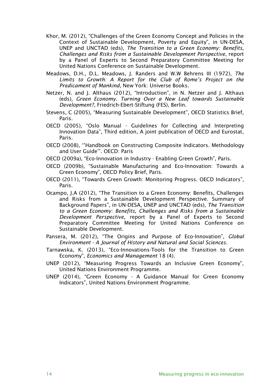- Khor, M. (2012), "Challenges of the Green Economy Concept and Policies in the Context of Sustainable Development, Poverty and Equity", in UN-DESA, UNEP and UNCTAD (eds), *The Transition to a Green Economy: Benefits, Challenges and Risks from a Sustainable Development Perspective*, report by a Panel of Experts to Second Preparatory Committee Meeting for United Nations Conference on Sustainable Development.
- Meadows, D.H., D.L. Meadows, J. Randers and W.W Behrens III (1972), *The Limits to Growth: A Report for the Club of Rome's Project on the Predicament of Mankind*, New York: Universe Books.
- Netzer, N. and J. Althaus (2012), "Introduction", in N. Netzer and J. Althaus (eds), *Green Economy. Turning Over a New Leaf towards Sustainable Development?*, Friedrich-Ebert-Stiftung (FES), Berlin.
- Stevens, C (2005), "Measuring Sustainable Development", OECD Statistics Brief, Paris.
- OECD (2005), "Oslo Manual Guidelines for Collecting and Interpreting Innovation Data", Third edition, A joint publication of OECD and Eurostat, Paris.
- OECD (2008), ''Handbook on Constructing Composite Indicators. Methodology and User Guide''. OECD: Paris
- OECD (2009a), "Eco-Innovation in Industry Enabling Green Growth", Paris.
- OECD (2009b), "Sustainable Manufacturing and Eco-Innovation: Towards a Green Economy", OECD Policy Brief, Paris.
- OECD (2011), "Towards Green Growth: Monitoring Progress. OECD Indicators", Paris.
- Ocampo, J.A (2012), "The Transition to a Green Economy: Benefits, Challenges and Risks from a Sustainable Development Perspective. Summary of Background Papers", in UN-DESA, UNEP and UNCTAD (eds), *The Transition to a Green Economy: Benefits, Challenges and Risks from a Sustainable Development Perspective*, report by a Panel of Experts to Second Preparatory Committee Meeting for United Nations Conference on Sustainable Development.
- Pansera, M. (2012), "[The Origins and Purpose of Eco-Innovation](http://www.mendeley.com/research/origins-purpose-ecoinnovation/)", *Global Environment - A Journal of History and Natural and Social Sciences*.
- Tarnawska, K. (2013), "Eco-Innovations-Tools for the Transition to Green Economy", *Economics and Management* 18 (4).
- UNEP (2012), "Measuring Progress Towards an Inclusive Green Economy", United Nations Environment Programme.
- UNEP (2014), "Green Economy A Guidance Manual for Green Economy Indicators", United Nations Environment Programme.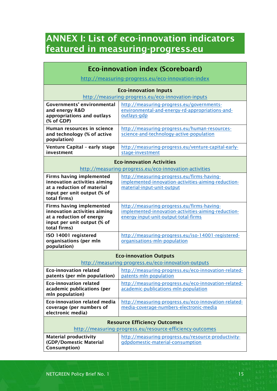## <span id="page-17-0"></span>**ANNEX I: List of eco-innovation indicators featured in measuring-progress.eu**

| <b>Eco-innovation index (Scoreboard)</b>                                                                                                     |                                                                                                                                           |  |  |  |
|----------------------------------------------------------------------------------------------------------------------------------------------|-------------------------------------------------------------------------------------------------------------------------------------------|--|--|--|
| http://measuring-progress.eu/eco-innovation-index                                                                                            |                                                                                                                                           |  |  |  |
| <b>Eco-innovation Inputs</b><br>http://measuring-progress.eu/eco-innovation-inputs                                                           |                                                                                                                                           |  |  |  |
| <b>Governments' environmental</b><br>and energy R&D<br>appropriations and outlays<br>(% of GDP)                                              | http://measuring-progress.eu/governments-<br>environmental-and-energy-rd-appropriations-and-<br>outlays-gdp                               |  |  |  |
| Human resources in science<br>and technology (% of active<br>population)                                                                     | http://measuring-progress.eu/human-resources-<br>science-and-technology-active-population                                                 |  |  |  |
| Venture Capital - early stage<br>investment                                                                                                  | http://measuring-progress.eu/venture-capital-early-<br>stage-investment                                                                   |  |  |  |
| <b>Eco-innovation Activities</b><br>http://measuring-progress.eu/eco-innovation-activities                                                   |                                                                                                                                           |  |  |  |
| <b>Firms having implemented</b><br>innovation activities aiming<br>at a reduction of material<br>input per unit output (% of<br>total firms) | http://measuring-progress.eu/firms-having-<br>implemented-innovation-activities-aiming-reduction-<br>material-input-unit-output           |  |  |  |
| <b>Firms having implemented</b><br>innovation activities aiming<br>at a reduction of energy<br>input per unit output (% of<br>total firms)   | http://measuring-progress.eu/firms-having-<br>implemented-innovation-activities-aiming-reduction-<br>energy-input-unit-output-total-firms |  |  |  |
| ISO 14001 registered<br>organisations (per mln<br>population)                                                                                | http://measuring-progress.eu/iso-14001-registered-<br>organisations-mln-population                                                        |  |  |  |
| <b>Eco-innovation Outputs</b><br>http://measuring-progress.eu/eco-innovation-outputs                                                         |                                                                                                                                           |  |  |  |
| <b>Eco-innovation related</b><br>patents (per mln population)                                                                                | http://measuring-progress.eu/eco-innovation-related-<br>patents-mln-population                                                            |  |  |  |
| <b>Eco-innovation related</b><br>academic publications (per<br>mln population)                                                               | http://measuring-progress.eu/eco-innovation-related-<br>academic-publications-mln-population                                              |  |  |  |
| <b>Eco-innovation related media</b><br>coverage (per numbers of<br>electronic media)                                                         | http://measuring-progress.eu/eco-innovation-related-<br>media-coverage-numbers-electronic-media                                           |  |  |  |
| <b>Resource Efficiency Outcomes</b><br>http://measuring-progress.eu/resource-efficiency-outcomes                                             |                                                                                                                                           |  |  |  |
| <b>Material productivity</b><br>(GDP/Domestic Material<br>Consumption)                                                                       | http://measuring-progress.eu/resource-productivity-<br>gdpdomestic-material-consumption                                                   |  |  |  |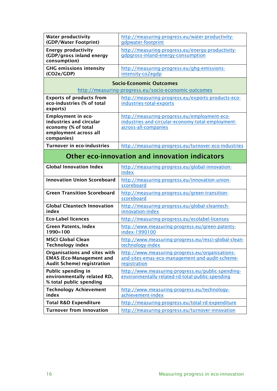| <b>Water productivity</b><br>(GDP/Water Footprint)                                                                 | http://measuring-progress.eu/water-productivity-<br>gdpwater-footprint                                                    |  |  |  |
|--------------------------------------------------------------------------------------------------------------------|---------------------------------------------------------------------------------------------------------------------------|--|--|--|
| <b>Energy productivity</b><br>(GDP/gross inland energy<br>consumption)                                             | http://measuring-progress.eu/energy-productivity-<br>gdpgross-inland-energy-consumption                                   |  |  |  |
| <b>GHG emissions intensity</b><br>(CO2e/GDP)                                                                       | http://measuring-progress.eu/ghg-emissions-<br>intensity-co2egdp                                                          |  |  |  |
| <b>Socio-Economic Outcomes</b>                                                                                     |                                                                                                                           |  |  |  |
| http://measuring-progress.eu/socio-economic-outcomes                                                               |                                                                                                                           |  |  |  |
| <b>Exports of products from</b><br>eco-industries (% of total<br>exports)                                          | http://measuring-progress.eu/exports-products-eco-<br>industries-total-exports                                            |  |  |  |
| <b>Employment in eco-</b><br>industries and circular<br>economy (% of total<br>employment across all<br>companies) | http://measuring-progress.eu/employment-eco-<br>industries-and-circular-economy-total-employment-<br>across-all-companies |  |  |  |
| <b>Turnover in eco-industries</b>                                                                                  | http://measuring-progress.eu/turnover-eco-industries                                                                      |  |  |  |
| Other eco-innovation and innovation indicators                                                                     |                                                                                                                           |  |  |  |
| <b>Global Innovation Index</b>                                                                                     | http://measuring-progress.eu/global-innovation-<br>index                                                                  |  |  |  |
| <b>Innovation Union Scoreboard</b>                                                                                 | http://measuring-progress.eu/innovation-union-<br>scoreboard                                                              |  |  |  |
| <b>Green Transition Scoreboard</b>                                                                                 | http://measuring-progress.eu/green-transition-<br>scoreboard                                                              |  |  |  |
| <b>Global Cleantech Innovation</b><br>index                                                                        | http://measuring-progress.eu/global-cleantech-<br>innovation-index                                                        |  |  |  |
| <b>Eco-Label licences</b>                                                                                          | http://measuring-progress.eu/ecolabel-licenses                                                                            |  |  |  |
| <b>Green Patents, Index</b><br>$1990 = 100$                                                                        | http://www.measuring-progress.eu/green-patents-<br>index-1990100                                                          |  |  |  |
| <b>MSCI Global Clean</b><br><b>Technology index</b>                                                                | http://www.measuring-progress.eu/msci-global-clean-<br>technology-index                                                   |  |  |  |
| Organisations and sites with<br><b>EMAS (Eco-Management and</b><br><b>Audit Scheme) registration</b>               | http://www.measuring-progress.eu/organisations-<br>and-sites-emas-eco-management-and-audit-scheme-<br>registration        |  |  |  |
| Public spending in<br>environmentally related RD,<br>% total public spending                                       | http://www.measuring-progress.eu/public-spending-<br>environmentally-related-rd-total-public-spending                     |  |  |  |
| <b>Technology Achievement</b><br>index                                                                             | http://www.measuring-progress.eu/technology-<br>achievement-index                                                         |  |  |  |
| <b>Total R&amp;D Expenditure</b>                                                                                   | http://measuring-progress.eu/total-rd-expenditure                                                                         |  |  |  |
| <b>Turnover from innovation</b>                                                                                    | http://measuring-progress.eu/turnover-innovation                                                                          |  |  |  |